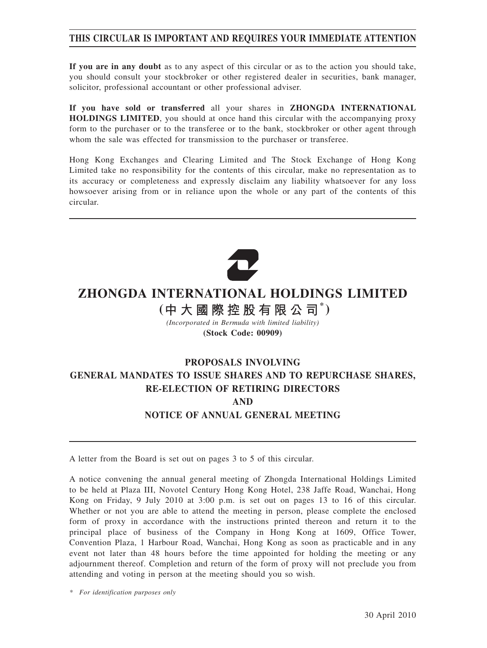## **THIS CIRCULAR IS IMPORTANT AND REQUIRES YOUR IMMEDIATE ATTENTION**

**If you are in any doubt** as to any aspect of this circular or as to the action you should take, you should consult your stockbroker or other registered dealer in securities, bank manager, solicitor, professional accountant or other professional adviser.

**If you have sold or transferred** all your shares in **ZHONGDA INTERNATIONAL HOLDINGS LIMITED**, you should at once hand this circular with the accompanying proxy form to the purchaser or to the transferee or to the bank, stockbroker or other agent through whom the sale was effected for transmission to the purchaser or transferee.

Hong Kong Exchanges and Clearing Limited and The Stock Exchange of Hong Kong Limited take no responsibility for the contents of this circular, make no representation as to its accuracy or completeness and expressly disclaim any liability whatsoever for any loss howsoever arising from or in reliance upon the whole or any part of the contents of this circular.



# **ZHONGDA INTERNATIONAL HOLDINGS LIMITED**

## **( \* )**

*(Incorporated in Bermuda with limited liability)* **(Stock Code: 00909)**

## **PROPOSALS INVOLVING GENERAL MANDATES TO ISSUE SHARES AND TO REPURCHASE SHARES, RE-ELECTION OF RETIRING DIRECTORS AND NOTICE OF ANNUAL GENERAL MEETING**

A letter from the Board is set out on pages 3 to 5 of this circular.

A notice convening the annual general meeting of Zhongda International Holdings Limited to be held at Plaza III, Novotel Century Hong Kong Hotel, 238 Jaffe Road, Wanchai, Hong Kong on Friday, 9 July 2010 at 3:00 p.m. is set out on pages 13 to 16 of this circular. Whether or not you are able to attend the meeting in person, please complete the enclosed form of proxy in accordance with the instructions printed thereon and return it to the principal place of business of the Company in Hong Kong at 1609, Office Tower, Convention Plaza, 1 Harbour Road, Wanchai, Hong Kong as soon as practicable and in any event not later than 48 hours before the time appointed for holding the meeting or any adjournment thereof. Completion and return of the form of proxy will not preclude you from attending and voting in person at the meeting should you so wish.

*\* For identification purposes only*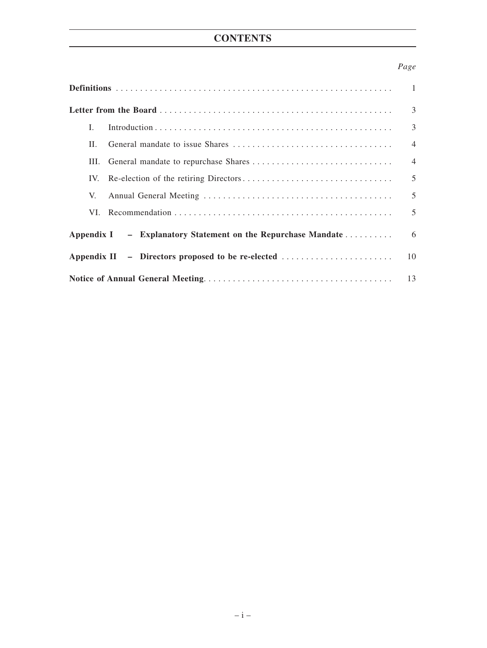# **CONTENTS**

## *Page*

|                                                              | $\overline{1}$ |
|--------------------------------------------------------------|----------------|
|                                                              | 3              |
| L                                                            | 3              |
| Н.                                                           | $\overline{4}$ |
| Ш.                                                           | $\overline{4}$ |
| IV.                                                          | 5              |
| V.                                                           | 5              |
|                                                              | 5              |
| Appendix I – Explanatory Statement on the Repurchase Mandate | 6              |
|                                                              | 10             |
|                                                              | 13             |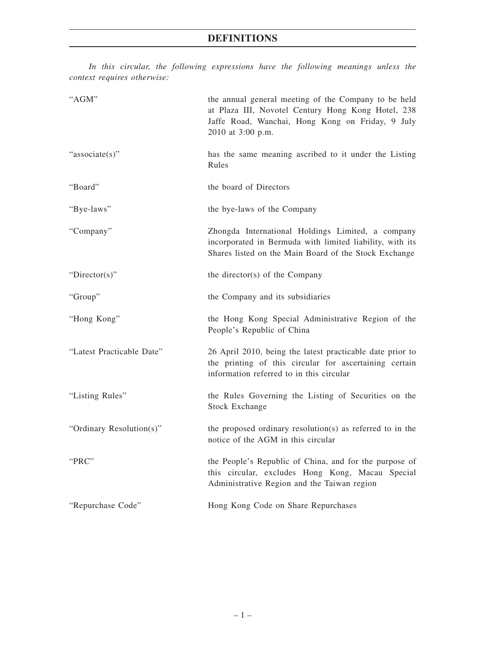*In this circular, the following expressions have the following meanings unless the context requires otherwise:*

| "AGM"                     | the annual general meeting of the Company to be held<br>at Plaza III, Novotel Century Hong Kong Hotel, 238<br>Jaffe Road, Wanchai, Hong Kong on Friday, 9 July<br>2010 at 3:00 p.m. |
|---------------------------|-------------------------------------------------------------------------------------------------------------------------------------------------------------------------------------|
| "associate(s)"            | has the same meaning ascribed to it under the Listing<br>Rules                                                                                                                      |
| "Board"                   | the board of Directors                                                                                                                                                              |
| "Bye-laws"                | the bye-laws of the Company                                                                                                                                                         |
| "Company"                 | Zhongda International Holdings Limited, a company<br>incorporated in Bermuda with limited liability, with its<br>Shares listed on the Main Board of the Stock Exchange              |
| "Director(s)"             | the director(s) of the Company                                                                                                                                                      |
| "Group"                   | the Company and its subsidiaries                                                                                                                                                    |
| "Hong Kong"               | the Hong Kong Special Administrative Region of the<br>People's Republic of China                                                                                                    |
| "Latest Practicable Date" | 26 April 2010, being the latest practicable date prior to<br>the printing of this circular for ascertaining certain<br>information referred to in this circular                     |
| "Listing Rules"           | the Rules Governing the Listing of Securities on the<br><b>Stock Exchange</b>                                                                                                       |
| "Ordinary Resolution(s)"  | the proposed ordinary resolution(s) as referred to in the<br>notice of the AGM in this circular                                                                                     |
| "PRC"                     | the People's Republic of China, and for the purpose of<br>this circular, excludes Hong Kong, Macau Special<br>Administrative Region and the Taiwan region                           |
| "Repurchase Code"         | Hong Kong Code on Share Repurchases                                                                                                                                                 |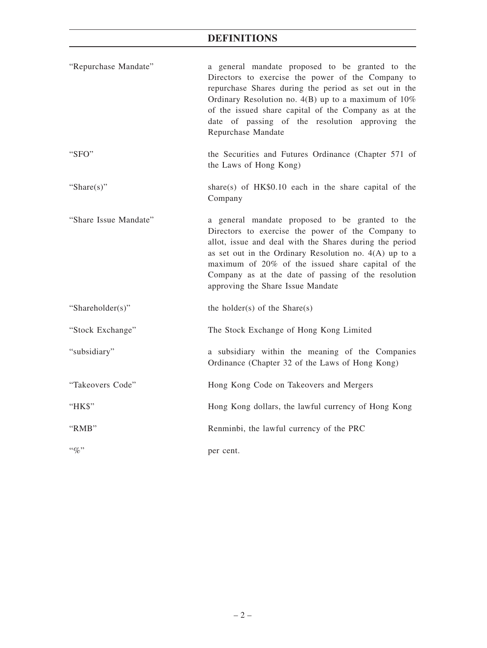## **DEFINITIONS**

| "Repurchase Mandate"  | a general mandate proposed to be granted to the<br>Directors to exercise the power of the Company to<br>repurchase Shares during the period as set out in the<br>Ordinary Resolution no. $4(B)$ up to a maximum of $10\%$<br>of the issued share capital of the Company as at the<br>date of passing of the resolution approving the<br>Repurchase Mandate                   |
|-----------------------|------------------------------------------------------------------------------------------------------------------------------------------------------------------------------------------------------------------------------------------------------------------------------------------------------------------------------------------------------------------------------|
| "SFO"                 | the Securities and Futures Ordinance (Chapter 571 of<br>the Laws of Hong Kong)                                                                                                                                                                                                                                                                                               |
| "Share $(s)$ "        | share(s) of $HK$0.10$ each in the share capital of the<br>Company                                                                                                                                                                                                                                                                                                            |
| "Share Issue Mandate" | a general mandate proposed to be granted to the<br>Directors to exercise the power of the Company to<br>allot, issue and deal with the Shares during the period<br>as set out in the Ordinary Resolution no. $4(A)$ up to a<br>maximum of 20% of the issued share capital of the<br>Company as at the date of passing of the resolution<br>approving the Share Issue Mandate |
| "Shareholder(s)"      | the holder(s) of the Share(s)                                                                                                                                                                                                                                                                                                                                                |
| "Stock Exchange"      | The Stock Exchange of Hong Kong Limited                                                                                                                                                                                                                                                                                                                                      |
| "subsidiary"          | a subsidiary within the meaning of the Companies<br>Ordinance (Chapter 32 of the Laws of Hong Kong)                                                                                                                                                                                                                                                                          |
| "Takeovers Code"      | Hong Kong Code on Takeovers and Mergers                                                                                                                                                                                                                                                                                                                                      |
| "HK\$"                | Hong Kong dollars, the lawful currency of Hong Kong                                                                                                                                                                                                                                                                                                                          |
| "RMB"                 | Renminbi, the lawful currency of the PRC                                                                                                                                                                                                                                                                                                                                     |
| $``q_0"$              | per cent.                                                                                                                                                                                                                                                                                                                                                                    |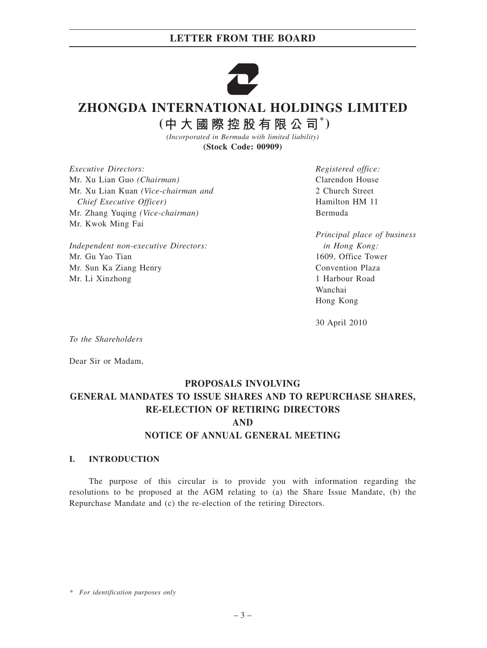## **LETTER FROM THE BOARD**



# **ZHONGDA INTERNATIONAL HOLDINGS LIMITED**

 $($ 中大國際控股有限公司 $*$ )

*(Incorporated in Bermuda with limited liability)* **(Stock Code: 00909)**

*Executive Directors:* Mr. Xu Lian Guo *(Chairman)* Mr. Xu Lian Kuan *(Vice-chairman and Chief Executive Officer)* Mr. Zhang Yuqing *(Vice-chairman)* Mr. Kwok Ming Fai

*Independent non-executive Directors:* Mr. Gu Yao Tian Mr. Sun Ka Ziang Henry Mr. Li Xinzhong

*Registered office:* Clarendon House 2 Church Street Hamilton HM 11 Bermuda

*Principal place of business in Hong Kong:* 1609, Office Tower Convention Plaza 1 Harbour Road Wanchai Hong Kong

30 April 2010

*To the Shareholders*

Dear Sir or Madam,

## **PROPOSALS INVOLVING GENERAL MANDATES TO ISSUE SHARES AND TO REPURCHASE SHARES, RE-ELECTION OF RETIRING DIRECTORS AND NOTICE OF ANNUAL GENERAL MEETING**

#### **I. INTRODUCTION**

The purpose of this circular is to provide you with information regarding the resolutions to be proposed at the AGM relating to (a) the Share Issue Mandate, (b) the Repurchase Mandate and (c) the re-election of the retiring Directors.

*\* For identification purposes only*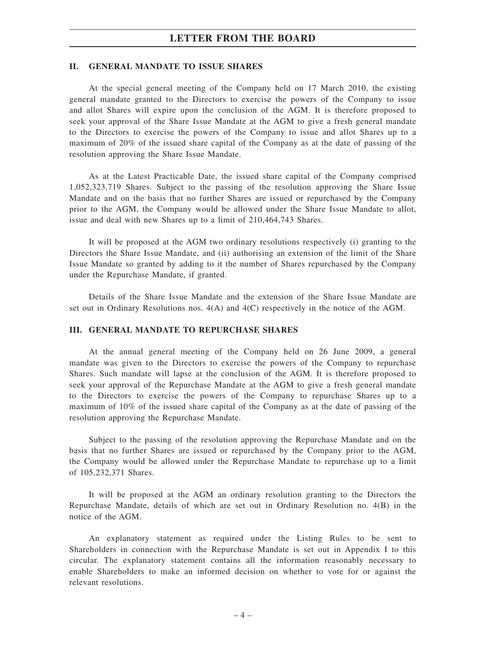#### **LETTER FROM THE BOARD**

#### **II. GENERAL MANDATE TO ISSUE SHARES**

At the special general meeting of the Company held on 17 March 2010, the existing general mandate granted to the Directors to exercise the powers of the Company to issue and allot Shares will expire upon the conclusion of the AGM. It is therefore proposed to seek your approval of the Share Issue Mandate at the AGM to give a fresh general mandate to the Directors to exercise the powers of the Company to issue and allot Shares up to a maximum of 20% of the issued share capital of the Company as at the date of passing of the resolution approving the Share Issue Mandate.

As at the Latest Practicable Date, the issued share capital of the Company comprised 1,052,323,719 Shares. Subject to the passing of the resolution approving the Share Issue Mandate and on the basis that no further Shares are issued or repurchased by the Company prior to the AGM, the Company would be allowed under the Share Issue Mandate to allot, issue and deal with new Shares up to a limit of 210,464,743 Shares.

It will be proposed at the AGM two ordinary resolutions respectively (i) granting to the Directors the Share Issue Mandate, and (ii) authorising an extension of the limit of the Share Issue Mandate so granted by adding to it the number of Shares repurchased by the Company under the Repurchase Mandate, if granted.

Details of the Share Issue Mandate and the extension of the Share Issue Mandate are set out in Ordinary Resolutions nos. 4(A) and 4(C) respectively in the notice of the AGM.

#### **III. GENERAL MANDATE TO REPURCHASE SHARES**

At the annual general meeting of the Company held on 26 June 2009, a general mandate was given to the Directors to exercise the powers of the Company to repurchase Shares. Such mandate will lapse at the conclusion of the AGM. It is therefore proposed to seek your approval of the Repurchase Mandate at the AGM to give a fresh general mandate to the Directors to exercise the powers of the Company to repurchase Shares up to a maximum of 10% of the issued share capital of the Company as at the date of passing of the resolution approving the Repurchase Mandate.

Subject to the passing of the resolution approving the Repurchase Mandate and on the basis that no further Shares are issued or repurchased by the Company prior to the AGM, the Company would be allowed under the Repurchase Mandate to repurchase up to a limit of 105,232,371 Shares.

It will be proposed at the AGM an ordinary resolution granting to the Directors the Repurchase Mandate, details of which are set out in Ordinary Resolution no. 4(B) in the notice of the AGM.

An explanatory statement as required under the Listing Rules to be sent to Shareholders in connection with the Repurchase Mandate is set out in Appendix I to this circular. The explanatory statement contains all the information reasonably necessary to enable Shareholders to make an informed decision on whether to vote for or against the relevant resolutions.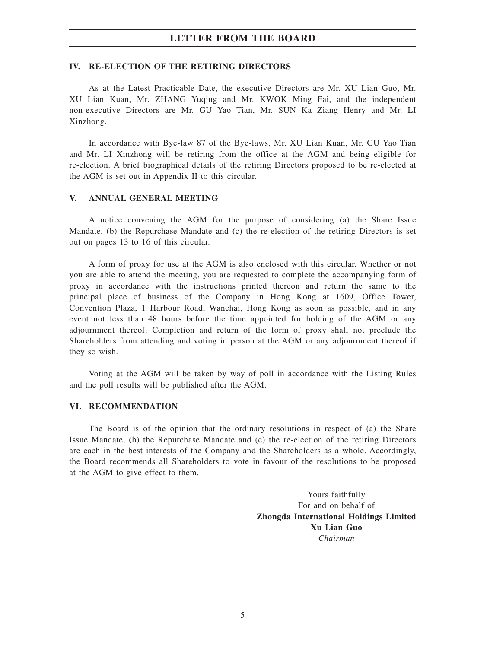### **LETTER FROM THE BOARD**

#### **IV. RE-ELECTION OF THE RETIRING DIRECTORS**

As at the Latest Practicable Date, the executive Directors are Mr. XU Lian Guo, Mr. XU Lian Kuan, Mr. ZHANG Yuqing and Mr. KWOK Ming Fai, and the independent non-executive Directors are Mr. GU Yao Tian, Mr. SUN Ka Ziang Henry and Mr. LI Xinzhong.

In accordance with Bye-law 87 of the Bye-laws, Mr. XU Lian Kuan, Mr. GU Yao Tian and Mr. LI Xinzhong will be retiring from the office at the AGM and being eligible for re-election. A brief biographical details of the retiring Directors proposed to be re-elected at the AGM is set out in Appendix II to this circular.

#### **V. ANNUAL GENERAL MEETING**

A notice convening the AGM for the purpose of considering (a) the Share Issue Mandate, (b) the Repurchase Mandate and (c) the re-election of the retiring Directors is set out on pages 13 to 16 of this circular.

A form of proxy for use at the AGM is also enclosed with this circular. Whether or not you are able to attend the meeting, you are requested to complete the accompanying form of proxy in accordance with the instructions printed thereon and return the same to the principal place of business of the Company in Hong Kong at 1609, Office Tower, Convention Plaza, 1 Harbour Road, Wanchai, Hong Kong as soon as possible, and in any event not less than 48 hours before the time appointed for holding of the AGM or any adjournment thereof. Completion and return of the form of proxy shall not preclude the Shareholders from attending and voting in person at the AGM or any adjournment thereof if they so wish.

Voting at the AGM will be taken by way of poll in accordance with the Listing Rules and the poll results will be published after the AGM.

#### **VI. RECOMMENDATION**

The Board is of the opinion that the ordinary resolutions in respect of (a) the Share Issue Mandate, (b) the Repurchase Mandate and (c) the re-election of the retiring Directors are each in the best interests of the Company and the Shareholders as a whole. Accordingly, the Board recommends all Shareholders to vote in favour of the resolutions to be proposed at the AGM to give effect to them.

> Yours faithfully For and on behalf of **Zhongda International Holdings Limited Xu Lian Guo** *Chairman*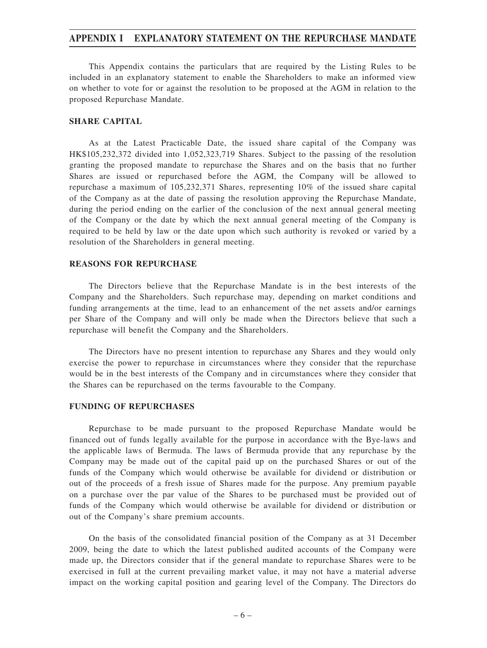This Appendix contains the particulars that are required by the Listing Rules to be included in an explanatory statement to enable the Shareholders to make an informed view on whether to vote for or against the resolution to be proposed at the AGM in relation to the proposed Repurchase Mandate.

#### **SHARE CAPITAL**

As at the Latest Practicable Date, the issued share capital of the Company was HK\$105,232,372 divided into 1,052,323,719 Shares. Subject to the passing of the resolution granting the proposed mandate to repurchase the Shares and on the basis that no further Shares are issued or repurchased before the AGM, the Company will be allowed to repurchase a maximum of 105,232,371 Shares, representing 10% of the issued share capital of the Company as at the date of passing the resolution approving the Repurchase Mandate, during the period ending on the earlier of the conclusion of the next annual general meeting of the Company or the date by which the next annual general meeting of the Company is required to be held by law or the date upon which such authority is revoked or varied by a resolution of the Shareholders in general meeting.

#### **REASONS FOR REPURCHASE**

The Directors believe that the Repurchase Mandate is in the best interests of the Company and the Shareholders. Such repurchase may, depending on market conditions and funding arrangements at the time, lead to an enhancement of the net assets and/or earnings per Share of the Company and will only be made when the Directors believe that such a repurchase will benefit the Company and the Shareholders.

The Directors have no present intention to repurchase any Shares and they would only exercise the power to repurchase in circumstances where they consider that the repurchase would be in the best interests of the Company and in circumstances where they consider that the Shares can be repurchased on the terms favourable to the Company.

#### **FUNDING OF REPURCHASES**

Repurchase to be made pursuant to the proposed Repurchase Mandate would be financed out of funds legally available for the purpose in accordance with the Bye-laws and the applicable laws of Bermuda. The laws of Bermuda provide that any repurchase by the Company may be made out of the capital paid up on the purchased Shares or out of the funds of the Company which would otherwise be available for dividend or distribution or out of the proceeds of a fresh issue of Shares made for the purpose. Any premium payable on a purchase over the par value of the Shares to be purchased must be provided out of funds of the Company which would otherwise be available for dividend or distribution or out of the Company's share premium accounts.

On the basis of the consolidated financial position of the Company as at 31 December 2009, being the date to which the latest published audited accounts of the Company were made up, the Directors consider that if the general mandate to repurchase Shares were to be exercised in full at the current prevailing market value, it may not have a material adverse impact on the working capital position and gearing level of the Company. The Directors do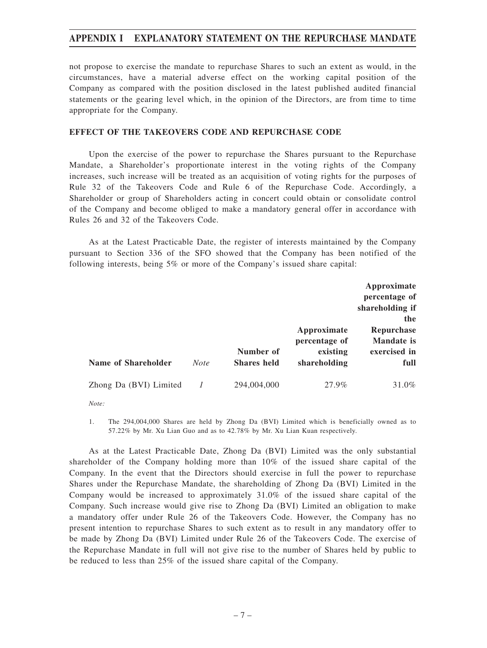not propose to exercise the mandate to repurchase Shares to such an extent as would, in the circumstances, have a material adverse effect on the working capital position of the Company as compared with the position disclosed in the latest published audited financial statements or the gearing level which, in the opinion of the Directors, are from time to time appropriate for the Company.

#### **EFFECT OF THE TAKEOVERS CODE AND REPURCHASE CODE**

Upon the exercise of the power to repurchase the Shares pursuant to the Repurchase Mandate, a Shareholder's proportionate interest in the voting rights of the Company increases, such increase will be treated as an acquisition of voting rights for the purposes of Rule 32 of the Takeovers Code and Rule 6 of the Repurchase Code. Accordingly, a Shareholder or group of Shareholders acting in concert could obtain or consolidate control of the Company and become obliged to make a mandatory general offer in accordance with Rules 26 and 32 of the Takeovers Code.

As at the Latest Practicable Date, the register of interests maintained by the Company pursuant to Section 336 of the SFO showed that the Company has been notified of the following interests, being 5% or more of the Company's issued share capital:

|                        |             |                                 |                                                          | Approximate<br>percentage of<br>shareholding if<br>the |
|------------------------|-------------|---------------------------------|----------------------------------------------------------|--------------------------------------------------------|
| Name of Shareholder    | <b>Note</b> | Number of<br><b>Shares held</b> | Approximate<br>percentage of<br>existing<br>shareholding | Repurchase<br>Mandate is<br>exercised in<br>full       |
| Zhong Da (BVI) Limited |             | 294,004,000                     | 27.9%                                                    | 31.0%                                                  |

*Note:*

1. The 294,004,000 Shares are held by Zhong Da (BVI) Limited which is beneficially owned as to 57.22% by Mr. Xu Lian Guo and as to 42.78% by Mr. Xu Lian Kuan respectively.

As at the Latest Practicable Date, Zhong Da (BVI) Limited was the only substantial shareholder of the Company holding more than 10% of the issued share capital of the Company. In the event that the Directors should exercise in full the power to repurchase Shares under the Repurchase Mandate, the shareholding of Zhong Da (BVI) Limited in the Company would be increased to approximately 31.0% of the issued share capital of the Company. Such increase would give rise to Zhong Da (BVI) Limited an obligation to make a mandatory offer under Rule 26 of the Takeovers Code. However, the Company has no present intention to repurchase Shares to such extent as to result in any mandatory offer to be made by Zhong Da (BVI) Limited under Rule 26 of the Takeovers Code. The exercise of the Repurchase Mandate in full will not give rise to the number of Shares held by public to be reduced to less than 25% of the issued share capital of the Company.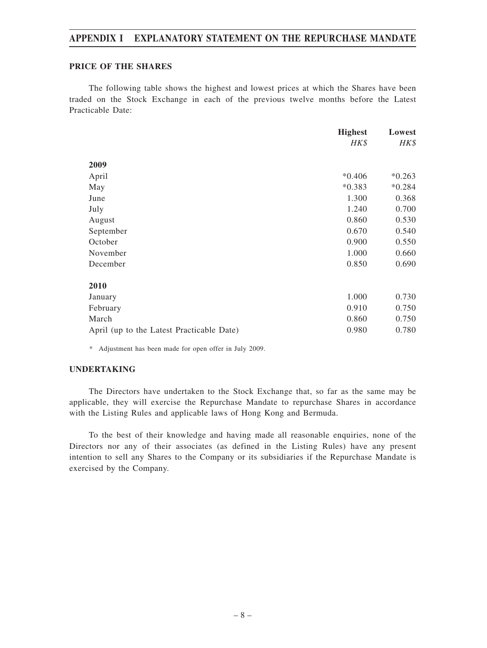#### **PRICE OF THE SHARES**

The following table shows the highest and lowest prices at which the Shares have been traded on the Stock Exchange in each of the previous twelve months before the Latest Practicable Date:

|                                           | <b>Highest</b> | Lowest   |
|-------------------------------------------|----------------|----------|
|                                           | HK\$           | HK\$     |
| 2009                                      |                |          |
| April                                     | $*0.406$       | $*0.263$ |
| May                                       | $*0.383$       | $*0.284$ |
| June                                      | 1.300          | 0.368    |
| July                                      | 1.240          | 0.700    |
| August                                    | 0.860          | 0.530    |
| September                                 | 0.670          | 0.540    |
| October                                   | 0.900          | 0.550    |
| November                                  | 1.000          | 0.660    |
| December                                  | 0.850          | 0.690    |
| 2010                                      |                |          |
| January                                   | 1.000          | 0.730    |
| February                                  | 0.910          | 0.750    |
| March                                     | 0.860          | 0.750    |
| April (up to the Latest Practicable Date) | 0.980          | 0.780    |

*\** Adjustment has been made for open offer in July 2009.

#### **UNDERTAKING**

The Directors have undertaken to the Stock Exchange that, so far as the same may be applicable, they will exercise the Repurchase Mandate to repurchase Shares in accordance with the Listing Rules and applicable laws of Hong Kong and Bermuda.

To the best of their knowledge and having made all reasonable enquiries, none of the Directors nor any of their associates (as defined in the Listing Rules) have any present intention to sell any Shares to the Company or its subsidiaries if the Repurchase Mandate is exercised by the Company.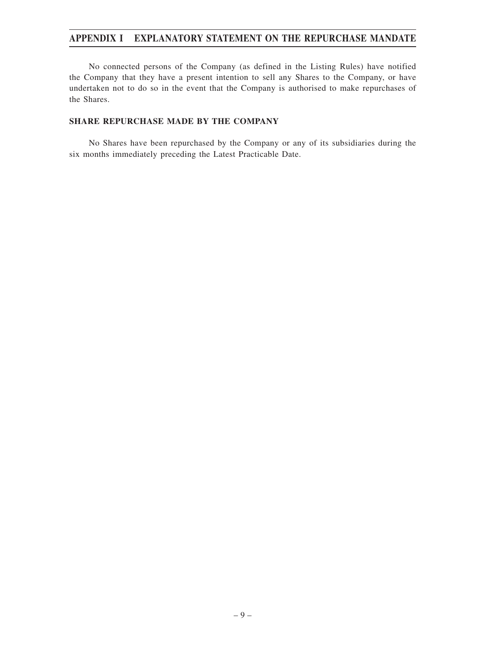No connected persons of the Company (as defined in the Listing Rules) have notified the Company that they have a present intention to sell any Shares to the Company, or have undertaken not to do so in the event that the Company is authorised to make repurchases of the Shares.

#### **SHARE REPURCHASE MADE BY THE COMPANY**

No Shares have been repurchased by the Company or any of its subsidiaries during the six months immediately preceding the Latest Practicable Date.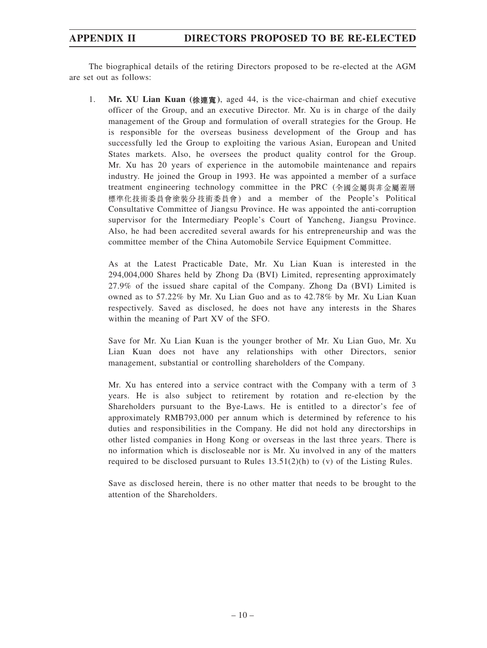## **APPENDIX II DIRECTORS PROPOSED TO BE RE-ELECTED**

The biographical details of the retiring Directors proposed to be re-elected at the AGM are set out as follows:

1. **Mr. XU Lian Kuan ( )**, aged 44, is the vice-chairman and chief executive officer of the Group, and an executive Director. Mr. Xu is in charge of the daily management of the Group and formulation of overall strategies for the Group. He is responsible for the overseas business development of the Group and has successfully led the Group to exploiting the various Asian, European and United States markets. Also, he oversees the product quality control for the Group. Mr. Xu has 20 years of experience in the automobile maintenance and repairs industry. He joined the Group in 1993. He was appointed a member of a surface treatment engineering technology committee in the PRC (全國金屬與非金屬蓋層 標準化技術委員會塗裝分技術委員會) and a member of the People's Political Consultative Committee of Jiangsu Province. He was appointed the anti-corruption supervisor for the Intermediary People's Court of Yancheng, Jiangsu Province. Also, he had been accredited several awards for his entrepreneurship and was the committee member of the China Automobile Service Equipment Committee.

As at the Latest Practicable Date, Mr. Xu Lian Kuan is interested in the 294,004,000 Shares held by Zhong Da (BVI) Limited, representing approximately 27.9% of the issued share capital of the Company. Zhong Da (BVI) Limited is owned as to 57.22% by Mr. Xu Lian Guo and as to 42.78% by Mr. Xu Lian Kuan respectively. Saved as disclosed, he does not have any interests in the Shares within the meaning of Part XV of the SFO.

Save for Mr. Xu Lian Kuan is the younger brother of Mr. Xu Lian Guo, Mr. Xu Lian Kuan does not have any relationships with other Directors, senior management, substantial or controlling shareholders of the Company.

Mr. Xu has entered into a service contract with the Company with a term of 3 years. He is also subject to retirement by rotation and re-election by the Shareholders pursuant to the Bye-Laws. He is entitled to a director's fee of approximately RMB793,000 per annum which is determined by reference to his duties and responsibilities in the Company. He did not hold any directorships in other listed companies in Hong Kong or overseas in the last three years. There is no information which is discloseable nor is Mr. Xu involved in any of the matters required to be disclosed pursuant to Rules  $13.51(2)(h)$  to (v) of the Listing Rules.

Save as disclosed herein, there is no other matter that needs to be brought to the attention of the Shareholders.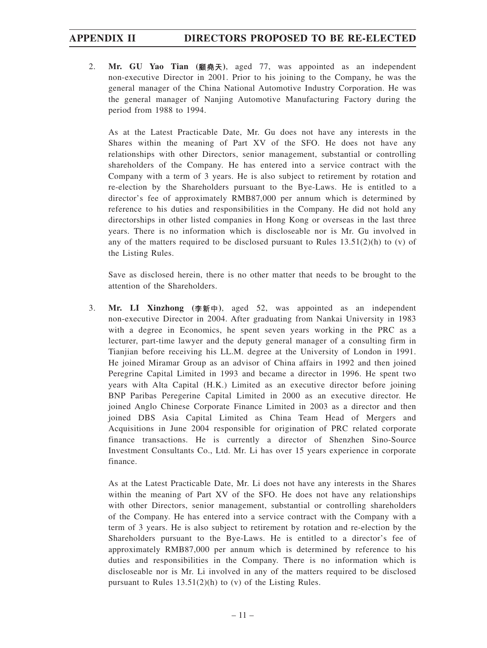## **APPENDIX II DIRECTORS PROPOSED TO BE RE-ELECTED**

2. **Mr. GU Yao Tian ( )**, aged 77, was appointed as an independent non-executive Director in 2001. Prior to his joining to the Company, he was the general manager of the China National Automotive Industry Corporation. He was the general manager of Nanjing Automotive Manufacturing Factory during the period from 1988 to 1994.

As at the Latest Practicable Date, Mr. Gu does not have any interests in the Shares within the meaning of Part XV of the SFO. He does not have any relationships with other Directors, senior management, substantial or controlling shareholders of the Company. He has entered into a service contract with the Company with a term of 3 years. He is also subject to retirement by rotation and re-election by the Shareholders pursuant to the Bye-Laws. He is entitled to a director's fee of approximately RMB87,000 per annum which is determined by reference to his duties and responsibilities in the Company. He did not hold any directorships in other listed companies in Hong Kong or overseas in the last three years. There is no information which is discloseable nor is Mr. Gu involved in any of the matters required to be disclosed pursuant to Rules  $13.51(2)(h)$  to (v) of the Listing Rules.

Save as disclosed herein, there is no other matter that needs to be brought to the attention of the Shareholders.

3. **Mr. LI Xinzhong ( )**, aged 52, was appointed as an independent non-executive Director in 2004. After graduating from Nankai University in 1983 with a degree in Economics, he spent seven years working in the PRC as a lecturer, part-time lawyer and the deputy general manager of a consulting firm in Tianjian before receiving his LL.M. degree at the University of London in 1991. He joined Miramar Group as an advisor of China affairs in 1992 and then joined Peregrine Capital Limited in 1993 and became a director in 1996. He spent two years with Alta Capital (H.K.) Limited as an executive director before joining BNP Paribas Peregerine Capital Limited in 2000 as an executive director. He joined Anglo Chinese Corporate Finance Limited in 2003 as a director and then joined DBS Asia Capital Limited as China Team Head of Mergers and Acquisitions in June 2004 responsible for origination of PRC related corporate finance transactions. He is currently a director of Shenzhen Sino-Source Investment Consultants Co., Ltd. Mr. Li has over 15 years experience in corporate finance.

As at the Latest Practicable Date, Mr. Li does not have any interests in the Shares within the meaning of Part XV of the SFO. He does not have any relationships with other Directors, senior management, substantial or controlling shareholders of the Company. He has entered into a service contract with the Company with a term of 3 years. He is also subject to retirement by rotation and re-election by the Shareholders pursuant to the Bye-Laws. He is entitled to a director's fee of approximately RMB87,000 per annum which is determined by reference to his duties and responsibilities in the Company. There is no information which is discloseable nor is Mr. Li involved in any of the matters required to be disclosed pursuant to Rules 13.51(2)(h) to (v) of the Listing Rules.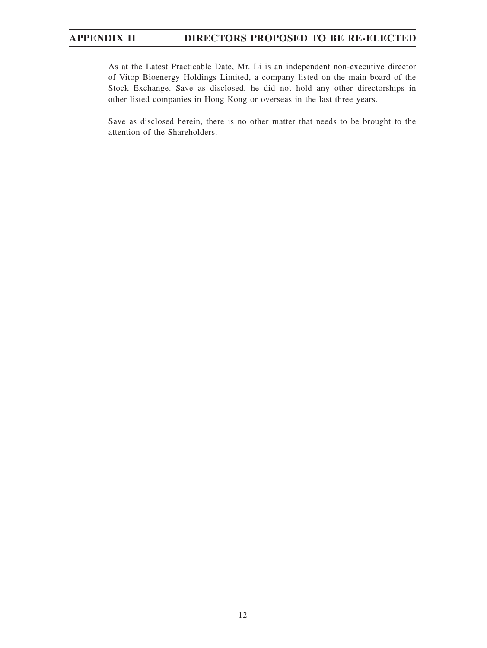As at the Latest Practicable Date, Mr. Li is an independent non-executive director of Vitop Bioenergy Holdings Limited, a company listed on the main board of the Stock Exchange. Save as disclosed, he did not hold any other directorships in other listed companies in Hong Kong or overseas in the last three years.

Save as disclosed herein, there is no other matter that needs to be brought to the attention of the Shareholders.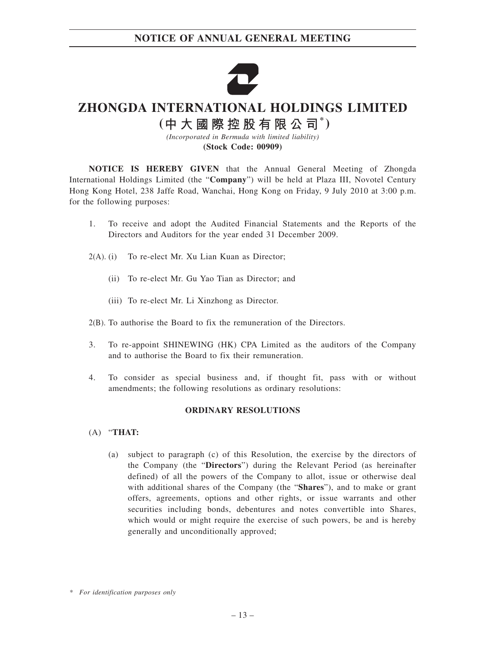

# **ZHONGDA INTERNATIONAL HOLDINGS LIMITED**

**( \* )**

*(Incorporated in Bermuda with limited liability)* **(Stock Code: 00909)**

**NOTICE IS HEREBY GIVEN** that the Annual General Meeting of Zhongda International Holdings Limited (the "**Company**") will be held at Plaza III, Novotel Century Hong Kong Hotel, 238 Jaffe Road, Wanchai, Hong Kong on Friday, 9 July 2010 at 3:00 p.m. for the following purposes:

- 1. To receive and adopt the Audited Financial Statements and the Reports of the Directors and Auditors for the year ended 31 December 2009.
- 2(A). (i) To re-elect Mr. Xu Lian Kuan as Director;
	- (ii) To re-elect Mr. Gu Yao Tian as Director; and
	- (iii) To re-elect Mr. Li Xinzhong as Director.
- 2(B). To authorise the Board to fix the remuneration of the Directors.
- 3. To re-appoint SHINEWING (HK) CPA Limited as the auditors of the Company and to authorise the Board to fix their remuneration.
- 4. To consider as special business and, if thought fit, pass with or without amendments; the following resolutions as ordinary resolutions:

#### **ORDINARY RESOLUTIONS**

- (A) "**THAT:**
	- (a) subject to paragraph (c) of this Resolution, the exercise by the directors of the Company (the "**Directors**") during the Relevant Period (as hereinafter defined) of all the powers of the Company to allot, issue or otherwise deal with additional shares of the Company (the "**Shares**"), and to make or grant offers, agreements, options and other rights, or issue warrants and other securities including bonds, debentures and notes convertible into Shares, which would or might require the exercise of such powers, be and is hereby generally and unconditionally approved;

*<sup>\*</sup> For identification purposes only*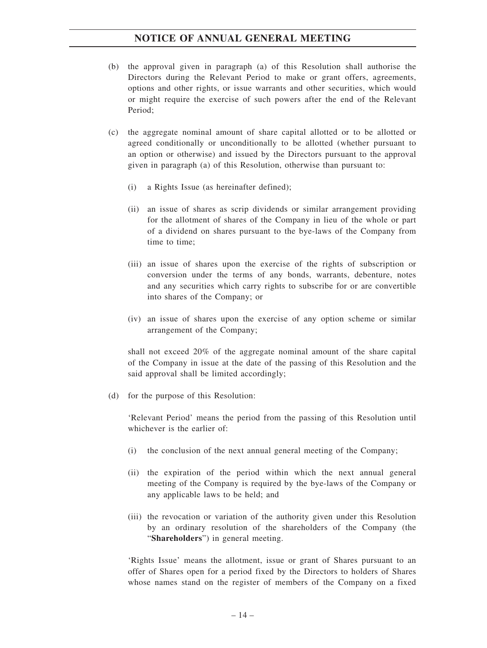- (b) the approval given in paragraph (a) of this Resolution shall authorise the Directors during the Relevant Period to make or grant offers, agreements, options and other rights, or issue warrants and other securities, which would or might require the exercise of such powers after the end of the Relevant Period;
- (c) the aggregate nominal amount of share capital allotted or to be allotted or agreed conditionally or unconditionally to be allotted (whether pursuant to an option or otherwise) and issued by the Directors pursuant to the approval given in paragraph (a) of this Resolution, otherwise than pursuant to:
	- (i) a Rights Issue (as hereinafter defined);
	- (ii) an issue of shares as scrip dividends or similar arrangement providing for the allotment of shares of the Company in lieu of the whole or part of a dividend on shares pursuant to the bye-laws of the Company from time to time;
	- (iii) an issue of shares upon the exercise of the rights of subscription or conversion under the terms of any bonds, warrants, debenture, notes and any securities which carry rights to subscribe for or are convertible into shares of the Company; or
	- (iv) an issue of shares upon the exercise of any option scheme or similar arrangement of the Company;

shall not exceed 20% of the aggregate nominal amount of the share capital of the Company in issue at the date of the passing of this Resolution and the said approval shall be limited accordingly;

(d) for the purpose of this Resolution:

'Relevant Period' means the period from the passing of this Resolution until whichever is the earlier of:

- (i) the conclusion of the next annual general meeting of the Company;
- (ii) the expiration of the period within which the next annual general meeting of the Company is required by the bye-laws of the Company or any applicable laws to be held; and
- (iii) the revocation or variation of the authority given under this Resolution by an ordinary resolution of the shareholders of the Company (the "**Shareholders**") in general meeting.

'Rights Issue' means the allotment, issue or grant of Shares pursuant to an offer of Shares open for a period fixed by the Directors to holders of Shares whose names stand on the register of members of the Company on a fixed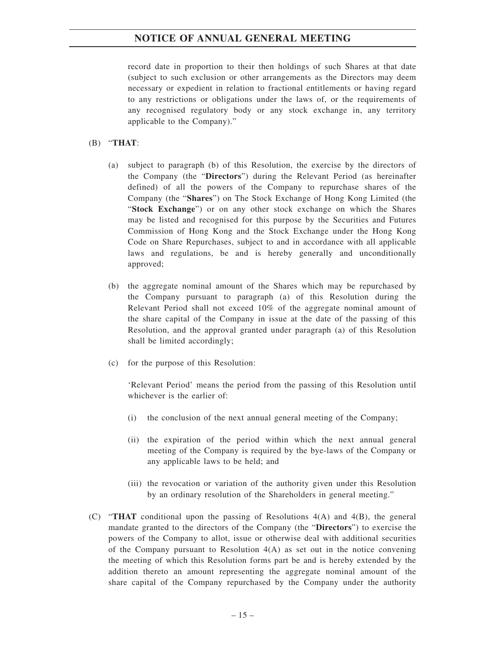record date in proportion to their then holdings of such Shares at that date (subject to such exclusion or other arrangements as the Directors may deem necessary or expedient in relation to fractional entitlements or having regard to any restrictions or obligations under the laws of, or the requirements of any recognised regulatory body or any stock exchange in, any territory applicable to the Company)."

#### (B) "**THAT**:

- (a) subject to paragraph (b) of this Resolution, the exercise by the directors of the Company (the "**Directors**") during the Relevant Period (as hereinafter defined) of all the powers of the Company to repurchase shares of the Company (the "**Shares**") on The Stock Exchange of Hong Kong Limited (the "**Stock Exchange**") or on any other stock exchange on which the Shares may be listed and recognised for this purpose by the Securities and Futures Commission of Hong Kong and the Stock Exchange under the Hong Kong Code on Share Repurchases, subject to and in accordance with all applicable laws and regulations, be and is hereby generally and unconditionally approved;
- (b) the aggregate nominal amount of the Shares which may be repurchased by the Company pursuant to paragraph (a) of this Resolution during the Relevant Period shall not exceed 10% of the aggregate nominal amount of the share capital of the Company in issue at the date of the passing of this Resolution, and the approval granted under paragraph (a) of this Resolution shall be limited accordingly;
- (c) for the purpose of this Resolution:

'Relevant Period' means the period from the passing of this Resolution until whichever is the earlier of:

- (i) the conclusion of the next annual general meeting of the Company;
- (ii) the expiration of the period within which the next annual general meeting of the Company is required by the bye-laws of the Company or any applicable laws to be held; and
- (iii) the revocation or variation of the authority given under this Resolution by an ordinary resolution of the Shareholders in general meeting."
- (C) "**THAT** conditional upon the passing of Resolutions 4(A) and 4(B), the general mandate granted to the directors of the Company (the "**Directors**") to exercise the powers of the Company to allot, issue or otherwise deal with additional securities of the Company pursuant to Resolution  $4(A)$  as set out in the notice convening the meeting of which this Resolution forms part be and is hereby extended by the addition thereto an amount representing the aggregate nominal amount of the share capital of the Company repurchased by the Company under the authority